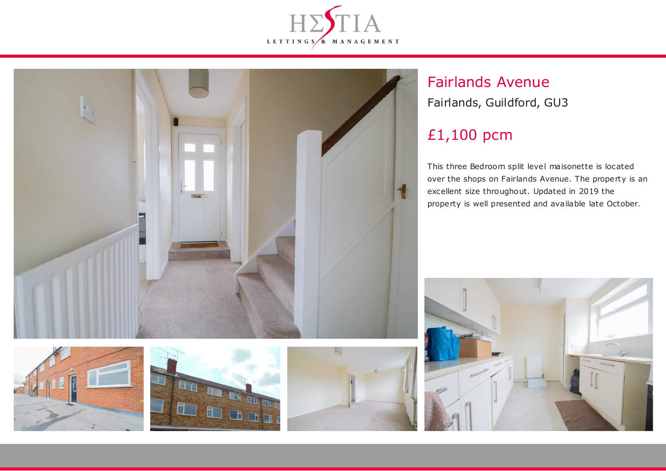



# Fairlands Avenue

Fairlands, Guildford, GU3

## £1,100 pcm

This three Bedroom split level maisonette is located over the shops on Fairlands Avenue. The property is an excellent size throughout. Updated in 2019 the property is well presented and available late October.

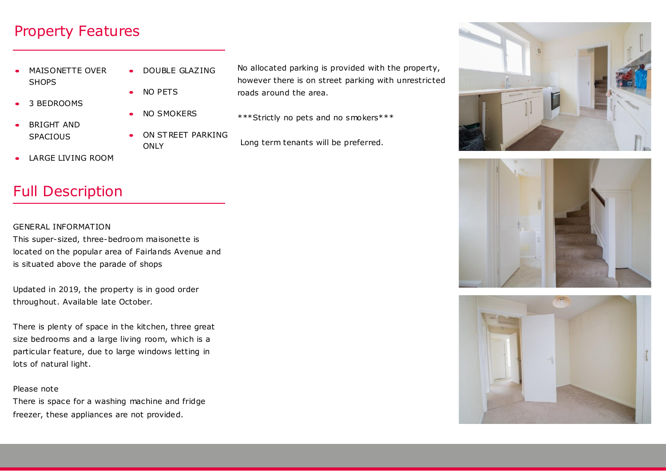### Property Features

- MAISONETTE OVER **SHOPS**
- 3 BEDROOMS
- BRIGHT AND **SPACIOUS**
- LARGE LIVING ROOM
- DOUBLE GLAZING
	- NO PETS
	- NO SMOKERS
	- ON ST REET PARKING ONLY
- No allocated parking is provided with the property, however there is on street parking with unrestricted roads around the area.
- \*\*\*Strictly no pets and no smokers\*\*\*
- Long term tenants will be preferred.



#### GENERAL INFORMATION This super-sized, three-bedroom maisonette is located on the popular area of Fairlands Avenue and is situated above the parade of shops

Updated in 2019, the property is in good order throughout. Available late October.

There is plenty of space in the kitchen, three great size bedrooms and a large living room, which is a particular feature, due to large windows letting in lots of natural light.

#### Please note

There is space for a washing machine and fridge freezer, these appliances are not provided.





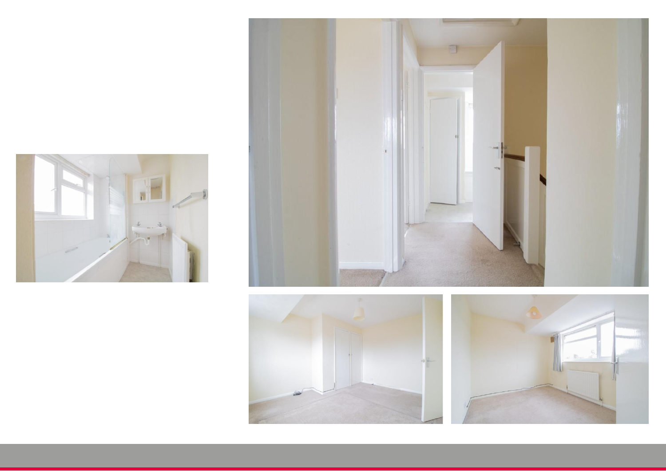